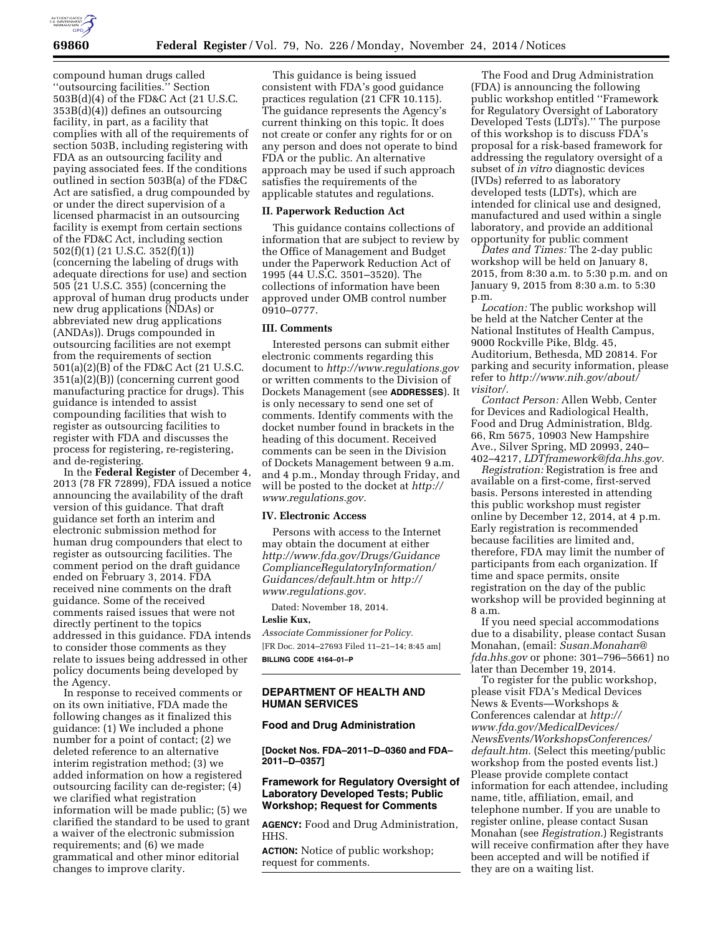

compound human drugs called ''outsourcing facilities.'' Section 503B(d)(4) of the FD&C Act (21 U.S.C. 353B(d)(4)) defines an outsourcing facility, in part, as a facility that complies with all of the requirements of section 503B, including registering with FDA as an outsourcing facility and paying associated fees. If the conditions outlined in section 503B(a) of the FD&C Act are satisfied, a drug compounded by or under the direct supervision of a licensed pharmacist in an outsourcing facility is exempt from certain sections of the FD&C Act, including section 502(f)(1) (21 U.S.C. 352(f)(1)) (concerning the labeling of drugs with adequate directions for use) and section 505 (21 U.S.C. 355) (concerning the approval of human drug products under new drug applications (NDAs) or abbreviated new drug applications (ANDAs)). Drugs compounded in outsourcing facilities are not exempt from the requirements of section 501(a)(2)(B) of the FD&C Act (21 U.S.C. 351(a)(2)(B)) (concerning current good manufacturing practice for drugs). This guidance is intended to assist compounding facilities that wish to register as outsourcing facilities to register with FDA and discusses the process for registering, re-registering, and de-registering.

In the **Federal Register** of December 4, 2013 (78 FR 72899), FDA issued a notice announcing the availability of the draft version of this guidance. That draft guidance set forth an interim and electronic submission method for human drug compounders that elect to register as outsourcing facilities. The comment period on the draft guidance ended on February 3, 2014. FDA received nine comments on the draft guidance. Some of the received comments raised issues that were not directly pertinent to the topics addressed in this guidance. FDA intends to consider those comments as they relate to issues being addressed in other policy documents being developed by the Agency.

In response to received comments or on its own initiative, FDA made the following changes as it finalized this guidance: (1) We included a phone number for a point of contact; (2) we deleted reference to an alternative interim registration method; (3) we added information on how a registered outsourcing facility can de-register; (4) we clarified what registration information will be made public; (5) we clarified the standard to be used to grant a waiver of the electronic submission requirements; and (6) we made grammatical and other minor editorial changes to improve clarity.

This guidance is being issued consistent with FDA's good guidance practices regulation (21 CFR 10.115). The guidance represents the Agency's current thinking on this topic. It does not create or confer any rights for or on any person and does not operate to bind FDA or the public. An alternative approach may be used if such approach satisfies the requirements of the applicable statutes and regulations.

### **II. Paperwork Reduction Act**

This guidance contains collections of information that are subject to review by the Office of Management and Budget under the Paperwork Reduction Act of 1995 (44 U.S.C. 3501–3520). The collections of information have been approved under OMB control number 0910–0777.

# **III. Comments**

Interested persons can submit either electronic comments regarding this document to *<http://www.regulations.gov>* or written comments to the Division of Dockets Management (see **ADDRESSES**). It is only necessary to send one set of comments. Identify comments with the docket number found in brackets in the heading of this document. Received comments can be seen in the Division of Dockets Management between 9 a.m. and 4 p.m., Monday through Friday, and will be posted to the docket at *[http://](http://www.regulations.gov) [www.regulations.gov.](http://www.regulations.gov)* 

#### **IV. Electronic Access**

Persons with access to the Internet may obtain the document at either *[http://www.fda.gov/Drugs/Guidance](http://www.fda.gov/Drugs/GuidanceComplianceRegulatoryInformation/Guidances/default.htm) [ComplianceRegulatoryInformation/](http://www.fda.gov/Drugs/GuidanceComplianceRegulatoryInformation/Guidances/default.htm) [Guidances/default.htm](http://www.fda.gov/Drugs/GuidanceComplianceRegulatoryInformation/Guidances/default.htm)* or *[http://](http://www.regulations.gov) [www.regulations.gov.](http://www.regulations.gov)* 

Dated: November 18, 2014.

#### **Leslie Kux,**

*Associate Commissioner for Policy.*  [FR Doc. 2014–27693 Filed 11–21–14; 8:45 am] **BILLING CODE 4164–01–P** 

# **DEPARTMENT OF HEALTH AND HUMAN SERVICES**

# **Food and Drug Administration**

**[Docket Nos. FDA–2011–D–0360 and FDA– 2011–D–0357]** 

# **Framework for Regulatory Oversight of Laboratory Developed Tests; Public Workshop; Request for Comments**

**AGENCY:** Food and Drug Administration, HHS.

**ACTION:** Notice of public workshop; request for comments.

The Food and Drug Administration (FDA) is announcing the following public workshop entitled ''Framework for Regulatory Oversight of Laboratory Developed Tests (LDTs).'' The purpose of this workshop is to discuss FDA's proposal for a risk-based framework for addressing the regulatory oversight of a subset of *in vitro* diagnostic devices (IVDs) referred to as laboratory developed tests (LDTs), which are intended for clinical use and designed, manufactured and used within a single laboratory, and provide an additional opportunity for public comment

*Dates and Times:* The 2-day public workshop will be held on January 8, 2015, from 8:30 a.m. to 5:30 p.m. and on January 9, 2015 from 8:30 a.m. to 5:30 p.m.

*Location:* The public workshop will be held at the Natcher Center at the National Institutes of Health Campus, 9000 Rockville Pike, Bldg. 45, Auditorium, Bethesda, MD 20814. For parking and security information, please refer to *[http://www.nih.gov/about/](http://www.nih.gov/about/visitor/) [visitor/.](http://www.nih.gov/about/visitor/)* 

*Contact Person:* Allen Webb, Center for Devices and Radiological Health, Food and Drug Administration, Bldg. 66, Rm 5675, 10903 New Hampshire Ave., Silver Spring, MD 20993, 240– 402–4217, *[LDTframework@fda.hhs.gov.](mailto:LDTframework@fda.hhs.gov)* 

*Registration:* Registration is free and available on a first-come, first-served basis. Persons interested in attending this public workshop must register online by December 12, 2014, at 4 p.m. Early registration is recommended because facilities are limited and, therefore, FDA may limit the number of participants from each organization. If time and space permits, onsite registration on the day of the public workshop will be provided beginning at 8 a.m.

If you need special accommodations due to a disability, please contact Susan Monahan, (email: *[Susan.Monahan@](mailto:Susan.Monahan@fda.hhs.gov) [fda.hhs.gov](mailto:Susan.Monahan@fda.hhs.gov)* or phone: 301–796–5661) no later than December 19, 2014.

To register for the public workshop, please visit FDA's Medical Devices News & Events—Workshops & Conferences calendar at *[http://](http://www.fda.gov/MedicalDevices/NewsEvents/WorkshopsConferences/default.htm) [www.fda.gov/MedicalDevices/](http://www.fda.gov/MedicalDevices/NewsEvents/WorkshopsConferences/default.htm) [NewsEvents/WorkshopsConferences/](http://www.fda.gov/MedicalDevices/NewsEvents/WorkshopsConferences/default.htm) [default.htm.](http://www.fda.gov/MedicalDevices/NewsEvents/WorkshopsConferences/default.htm)* (Select this meeting/public workshop from the posted events list.) Please provide complete contact information for each attendee, including name, title, affiliation, email, and telephone number. If you are unable to register online, please contact Susan Monahan (see *Registration.*) Registrants will receive confirmation after they have been accepted and will be notified if they are on a waiting list.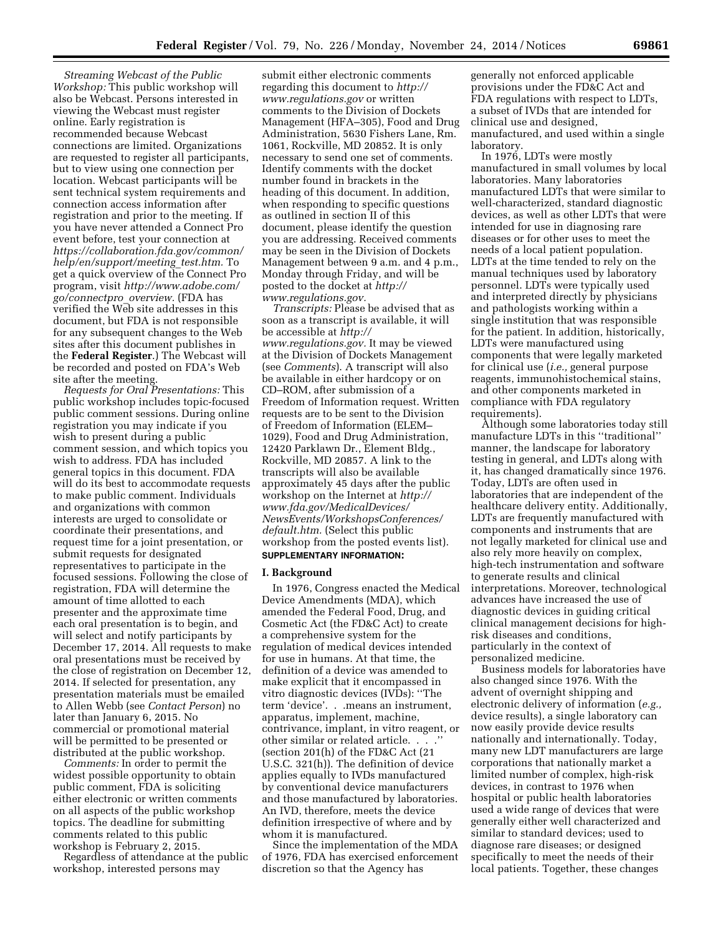*Streaming Webcast of the Public Workshop:* This public workshop will also be Webcast. Persons interested in viewing the Webcast must register online. Early registration is recommended because Webcast connections are limited. Organizations are requested to register all participants, but to view using one connection per location. Webcast participants will be sent technical system requirements and connection access information after registration and prior to the meeting. If you have never attended a Connect Pro event before, test your connection at *[https://collaboration.fda.gov/common/](https://collaboration.fda.gov/common/help/en/support/meeting_test.htm) [help/en/support/meeting](https://collaboration.fda.gov/common/help/en/support/meeting_test.htm)*\_*test.htm.* To get a quick overview of the Connect Pro program, visit *[http://www.adobe.com/](http://www.adobe.com/go/connectpro_overview) [go/connectpro](http://www.adobe.com/go/connectpro_overview)*\_*overview.* (FDA has verified the Web site addresses in this document, but FDA is not responsible for any subsequent changes to the Web sites after this document publishes in the **Federal Register**.) The Webcast will be recorded and posted on FDA's Web site after the meeting.

*Requests for Oral Presentations:* This public workshop includes topic-focused public comment sessions. During online registration you may indicate if you wish to present during a public comment session, and which topics you wish to address. FDA has included general topics in this document. FDA will do its best to accommodate requests to make public comment. Individuals and organizations with common interests are urged to consolidate or coordinate their presentations, and request time for a joint presentation, or submit requests for designated representatives to participate in the focused sessions. Following the close of registration, FDA will determine the amount of time allotted to each presenter and the approximate time each oral presentation is to begin, and will select and notify participants by December 17, 2014. All requests to make oral presentations must be received by the close of registration on December 12, 2014. If selected for presentation, any presentation materials must be emailed to Allen Webb (see *Contact Person*) no later than January 6, 2015. No commercial or promotional material will be permitted to be presented or distributed at the public workshop.

*Comments:* In order to permit the widest possible opportunity to obtain public comment, FDA is soliciting either electronic or written comments on all aspects of the public workshop topics. The deadline for submitting comments related to this public workshop is February 2, 2015.

Regardless of attendance at the public workshop, interested persons may

submit either electronic comments regarding this document to *[http://](http://www.regulations.gov) [www.regulations.gov](http://www.regulations.gov)* or written comments to the Division of Dockets Management (HFA–305), Food and Drug Administration, 5630 Fishers Lane, Rm. 1061, Rockville, MD 20852. It is only necessary to send one set of comments. Identify comments with the docket number found in brackets in the heading of this document. In addition, when responding to specific questions as outlined in section II of this document, please identify the question you are addressing. Received comments may be seen in the Division of Dockets Management between 9 a.m. and 4 p.m., Monday through Friday, and will be posted to the docket at *[http://](http://www.regulations.gov) [www.regulations.gov.](http://www.regulations.gov)* 

*Transcripts:* Please be advised that as soon as a transcript is available, it will be accessible at *[http://](http://www.regulations.gov) [www.regulations.gov.](http://www.regulations.gov)* It may be viewed at the Division of Dockets Management (see *Comments*). A transcript will also be available in either hardcopy or on CD–ROM, after submission of a Freedom of Information request. Written requests are to be sent to the Division of Freedom of Information (ELEM– 1029), Food and Drug Administration, 12420 Parklawn Dr., Element Bldg., Rockville, MD 20857. A link to the transcripts will also be available approximately 45 days after the public workshop on the Internet at *[http://](http://www.fda.gov/MedicalDevices/NewsEvents/WorkshopsConferences/default.htm) [www.fda.gov/MedicalDevices/](http://www.fda.gov/MedicalDevices/NewsEvents/WorkshopsConferences/default.htm) [NewsEvents/WorkshopsConferences/](http://www.fda.gov/MedicalDevices/NewsEvents/WorkshopsConferences/default.htm) [default.htm.](http://www.fda.gov/MedicalDevices/NewsEvents/WorkshopsConferences/default.htm)* (Select this public workshop from the posted events list). **SUPPLEMENTARY INFORMATION:** 

#### **I. Background**

In 1976, Congress enacted the Medical Device Amendments (MDA), which amended the Federal Food, Drug, and Cosmetic Act (the FD&C Act) to create a comprehensive system for the regulation of medical devices intended for use in humans. At that time, the definition of a device was amended to make explicit that it encompassed in vitro diagnostic devices (IVDs): ''The term 'device'. . .means an instrument, apparatus, implement, machine, contrivance, implant, in vitro reagent, or other similar or related article. . . .'' (section 201(h) of the FD&C Act (21 U.S.C. 321(h)). The definition of device applies equally to IVDs manufactured by conventional device manufacturers and those manufactured by laboratories. An IVD, therefore, meets the device definition irrespective of where and by whom it is manufactured.

Since the implementation of the MDA of 1976, FDA has exercised enforcement discretion so that the Agency has

generally not enforced applicable provisions under the FD&C Act and FDA regulations with respect to LDTs, a subset of IVDs that are intended for clinical use and designed, manufactured, and used within a single laboratory.

In 1976, LDTs were mostly manufactured in small volumes by local laboratories. Many laboratories manufactured LDTs that were similar to well-characterized, standard diagnostic devices, as well as other LDTs that were intended for use in diagnosing rare diseases or for other uses to meet the needs of a local patient population. LDTs at the time tended to rely on the manual techniques used by laboratory personnel. LDTs were typically used and interpreted directly by physicians and pathologists working within a single institution that was responsible for the patient. In addition, historically, LDTs were manufactured using components that were legally marketed for clinical use (*i.e.,* general purpose reagents, immunohistochemical stains, and other components marketed in compliance with FDA regulatory requirements).

Although some laboratories today still manufacture LDTs in this ''traditional'' manner, the landscape for laboratory testing in general, and LDTs along with it, has changed dramatically since 1976. Today, LDTs are often used in laboratories that are independent of the healthcare delivery entity. Additionally, LDTs are frequently manufactured with components and instruments that are not legally marketed for clinical use and also rely more heavily on complex, high-tech instrumentation and software to generate results and clinical interpretations. Moreover, technological advances have increased the use of diagnostic devices in guiding critical clinical management decisions for highrisk diseases and conditions, particularly in the context of personalized medicine.

Business models for laboratories have also changed since 1976. With the advent of overnight shipping and electronic delivery of information (*e.g.,*  device results), a single laboratory can now easily provide device results nationally and internationally. Today, many new LDT manufacturers are large corporations that nationally market a limited number of complex, high-risk devices, in contrast to 1976 when hospital or public health laboratories used a wide range of devices that were generally either well characterized and similar to standard devices; used to diagnose rare diseases; or designed specifically to meet the needs of their local patients. Together, these changes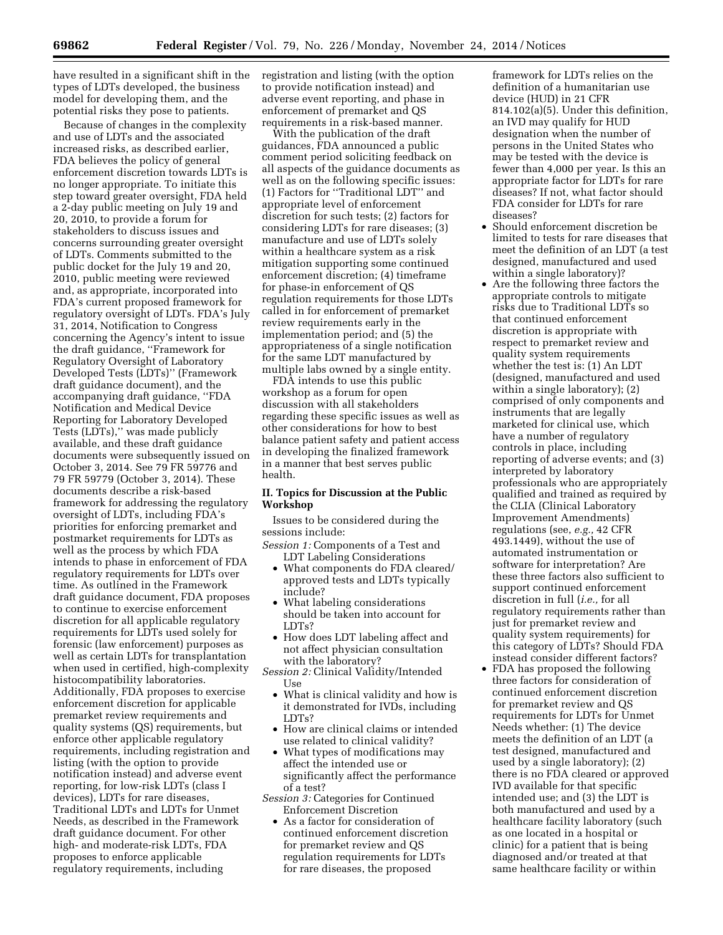have resulted in a significant shift in the types of LDTs developed, the business model for developing them, and the potential risks they pose to patients.

Because of changes in the complexity and use of LDTs and the associated increased risks, as described earlier, FDA believes the policy of general enforcement discretion towards LDTs is no longer appropriate. To initiate this step toward greater oversight, FDA held a 2-day public meeting on July 19 and 20, 2010, to provide a forum for stakeholders to discuss issues and concerns surrounding greater oversight of LDTs. Comments submitted to the public docket for the July 19 and 20, 2010, public meeting were reviewed and, as appropriate, incorporated into FDA's current proposed framework for regulatory oversight of LDTs. FDA's July 31, 2014, Notification to Congress concerning the Agency's intent to issue the draft guidance, ''Framework for Regulatory Oversight of Laboratory Developed Tests (LDTs)'' (Framework draft guidance document), and the accompanying draft guidance, ''FDA Notification and Medical Device Reporting for Laboratory Developed Tests (LDTs),'' was made publicly available, and these draft guidance documents were subsequently issued on October 3, 2014. See 79 FR 59776 and 79 FR 59779 (October 3, 2014). These documents describe a risk-based framework for addressing the regulatory oversight of LDTs, including FDA's priorities for enforcing premarket and postmarket requirements for LDTs as well as the process by which FDA intends to phase in enforcement of FDA regulatory requirements for LDTs over time. As outlined in the Framework draft guidance document, FDA proposes to continue to exercise enforcement discretion for all applicable regulatory requirements for LDTs used solely for forensic (law enforcement) purposes as well as certain LDTs for transplantation when used in certified, high-complexity histocompatibility laboratories. Additionally, FDA proposes to exercise enforcement discretion for applicable premarket review requirements and quality systems (QS) requirements, but enforce other applicable regulatory requirements, including registration and listing (with the option to provide notification instead) and adverse event reporting, for low-risk LDTs (class I devices), LDTs for rare diseases, Traditional LDTs and LDTs for Unmet Needs, as described in the Framework draft guidance document. For other high- and moderate-risk LDTs, FDA proposes to enforce applicable regulatory requirements, including

registration and listing (with the option to provide notification instead) and adverse event reporting, and phase in enforcement of premarket and QS requirements in a risk-based manner.

With the publication of the draft guidances, FDA announced a public comment period soliciting feedback on all aspects of the guidance documents as well as on the following specific issues: (1) Factors for ''Traditional LDT'' and appropriate level of enforcement discretion for such tests; (2) factors for considering LDTs for rare diseases; (3) manufacture and use of LDTs solely within a healthcare system as a risk mitigation supporting some continued enforcement discretion; (4) timeframe for phase-in enforcement of QS regulation requirements for those LDTs called in for enforcement of premarket review requirements early in the implementation period; and (5) the appropriateness of a single notification for the same LDT manufactured by multiple labs owned by a single entity.

FDA intends to use this public workshop as a forum for open discussion with all stakeholders regarding these specific issues as well as other considerations for how to best balance patient safety and patient access in developing the finalized framework in a manner that best serves public health.

# **II. Topics for Discussion at the Public Workshop**

Issues to be considered during the sessions include:

- *Session 1:* Components of a Test and LDT Labeling Considerations
	- What components do FDA cleared/ approved tests and LDTs typically include?
	- What labeling considerations should be taken into account for LDTs?
- How does LDT labeling affect and not affect physician consultation with the laboratory?
- *Session 2:* Clinical Validity/Intended Use
	- What is clinical validity and how is it demonstrated for IVDs, including LDTs?
	- How are clinical claims or intended use related to clinical validity?
- What types of modifications may affect the intended use or significantly affect the performance of a test?
- *Session 3:* Categories for Continued Enforcement Discretion
	- As a factor for consideration of continued enforcement discretion for premarket review and QS regulation requirements for LDTs for rare diseases, the proposed

framework for LDTs relies on the definition of a humanitarian use device (HUD) in 21 CFR 814.102(a)(5). Under this definition, an IVD may qualify for HUD designation when the number of persons in the United States who may be tested with the device is fewer than 4,000 per year. Is this an appropriate factor for LDTs for rare diseases? If not, what factor should FDA consider for LDTs for rare diseases?

- Should enforcement discretion be limited to tests for rare diseases that meet the definition of an LDT (a test designed, manufactured and used within a single laboratory)?
- Are the following three factors the appropriate controls to mitigate risks due to Traditional LDTs so that continued enforcement discretion is appropriate with respect to premarket review and quality system requirements whether the test is: (1) An LDT (designed, manufactured and used within a single laboratory); (2) comprised of only components and instruments that are legally marketed for clinical use, which have a number of regulatory controls in place, including reporting of adverse events; and (3) interpreted by laboratory professionals who are appropriately qualified and trained as required by the CLIA (Clinical Laboratory Improvement Amendments) regulations (see, *e.g.,* 42 CFR 493.1449), without the use of automated instrumentation or software for interpretation? Are these three factors also sufficient to support continued enforcement discretion in full (*i.e.,* for all regulatory requirements rather than just for premarket review and quality system requirements) for this category of LDTs? Should FDA instead consider different factors?
- FDA has proposed the following three factors for consideration of continued enforcement discretion for premarket review and QS requirements for LDTs for Unmet Needs whether: (1) The device meets the definition of an LDT (a test designed, manufactured and used by a single laboratory); (2) there is no FDA cleared or approved IVD available for that specific intended use; and (3) the LDT is both manufactured and used by a healthcare facility laboratory (such as one located in a hospital or clinic) for a patient that is being diagnosed and/or treated at that same healthcare facility or within